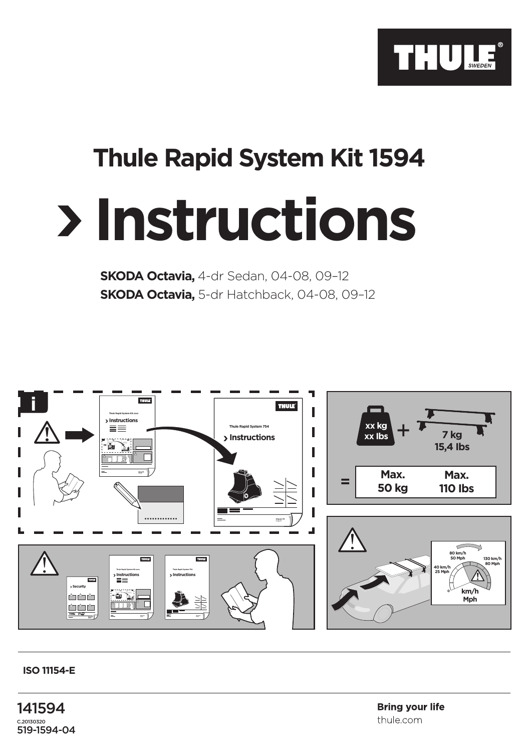

## **Thule Rapid System Kit 1594**

## **Instructions**

**SKODA Octavia,** 4-dr Sedan, 04-08, 09–12 **SKODA Octavia,** 5-dr Hatchback, 04-08, 09–12



## **ISO 11154-E**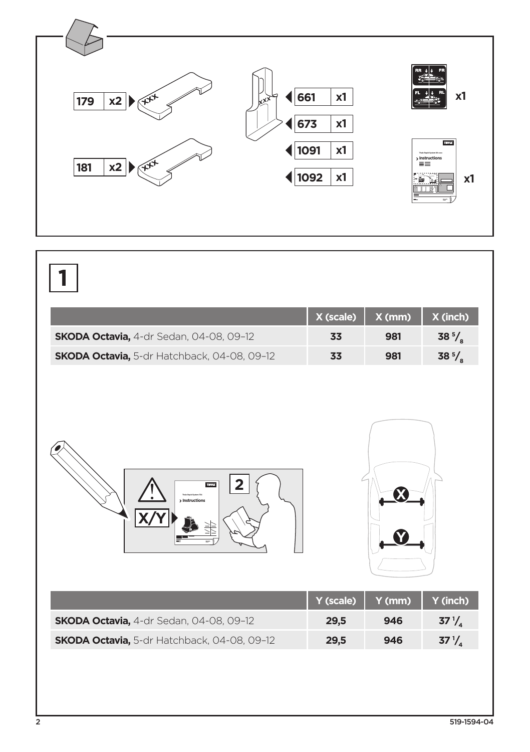

|                                             | X (scale) | X (mm) | X (inch)         |
|---------------------------------------------|-----------|--------|------------------|
| SKODA Octavia, 4-dr Sedan, 04-08, 09-12     | 33        | 981    | 38 $\frac{5}{8}$ |
| SKODA Octavia, 5-dr Hatchback, 04-08, 09-12 | 33        | 981    | 38 $\frac{5}{8}$ |
| <b>THULE</b><br>> Instructions              | Y (scale) | Y (mm) | Y (inch)         |
| SKODA Octavia, 4-dr Sedan, 04-08, 09-12     | 29,5      | 946    | $37\frac{1}{4}$  |
|                                             | 29,5      | 946    |                  |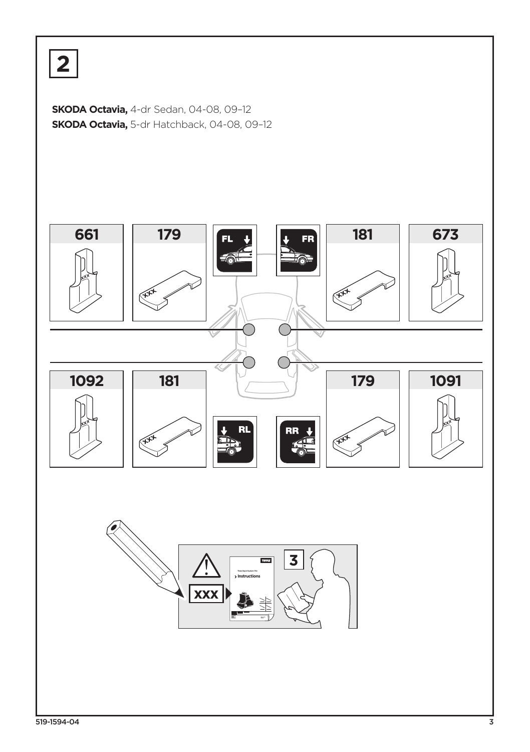